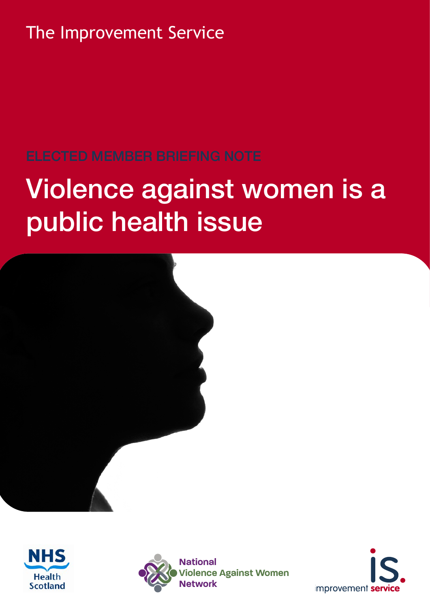The Improvement Service

# Violence against women is a public health issue







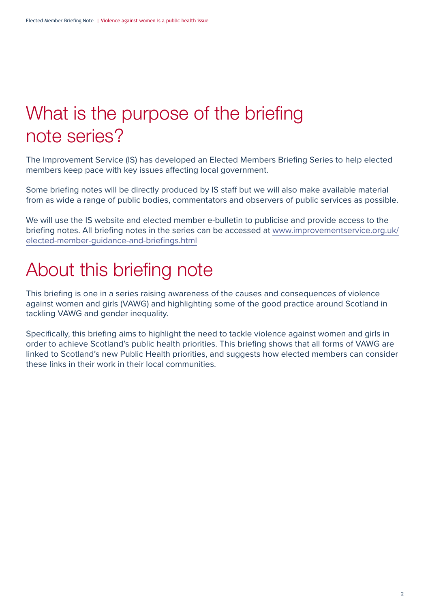### What is the purpose of the briefing note series?

The Improvement Service (IS) has developed an Elected Members Briefing Series to help elected members keep pace with key issues affecting local government.

Some briefing notes will be directly produced by IS staff but we will also make available material from as wide a range of public bodies, commentators and observers of public services as possible.

We will use the IS website and elected member e-bulletin to publicise and provide access to the briefing notes. All briefing notes in the series can be accessed at [www.improvementservice.org.uk/](http://www.improvementservice.org.uk/elected-member-guidance-and-briefings.html) [elected-member-guidance-and-briefings.html](http://www.improvementservice.org.uk/elected-member-guidance-and-briefings.html)

### About this briefing note

This briefing is one in a series raising awareness of the causes and consequences of violence against women and girls (VAWG) and highlighting some of the good practice around Scotland in tackling VAWG and gender inequality.

Specifically, this briefing aims to highlight the need to tackle violence against women and girls in order to achieve Scotland's public health priorities. This briefing shows that all forms of VAWG are linked to Scotland's new Public Health priorities, and suggests how elected members can consider these links in their work in their local communities.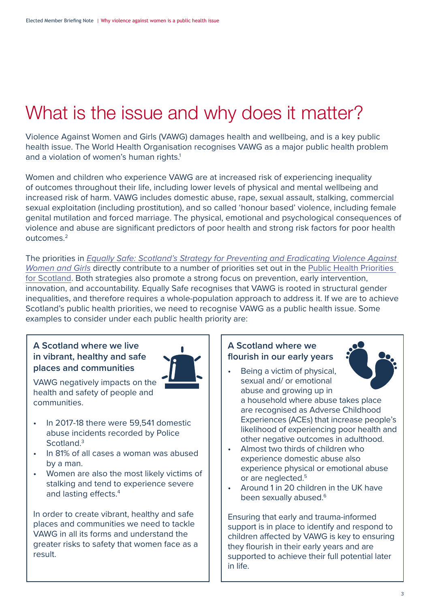### <span id="page-2-0"></span>What is the issue and why does it matter?

Violence Against Women and Girls (VAWG) damages health and wellbeing, and is a key public health issue. The World Health Organisation recognises VAWG as a major public health problem and a violation of women's human rights.<sup>1</sup>

Women and children who experience VAWG are at increased risk of experiencing inequality of outcomes throughout their life, including lower levels of physical and mental wellbeing and increased risk of harm. VAWG includes domestic abuse, rape, sexual assault, stalking, commercial sexual exploitation (including prostitution), and so called 'honour based' violence, including female genital mutilation and forced marriage. The physical, emotional and psychological consequences of violence and abuse are significant predictors of poor health and strong risk factors for poor health outcomes[.2](#page-7-0)

The priorities in [Equally Safe: Scotland's Strategy for Preventing and Eradicating Violence Against](https://www.gov.scot/binaries/content/documents/govscot/publications/strategy-plan/2018/04/equally-safe-scotlands-strategy-prevent-eradicate-violence-against-women-girls/documents/00534791-pdf/00534791-pdf/govscot%3Adocument/00534791.pdf)  [Women and Girls](https://www.gov.scot/binaries/content/documents/govscot/publications/strategy-plan/2018/04/equally-safe-scotlands-strategy-prevent-eradicate-violence-against-women-girls/documents/00534791-pdf/00534791-pdf/govscot%3Adocument/00534791.pdf) directly contribute to a number of priorities set out in the Public Health Priorities [for Scotland.](https://www.gov.scot/binaries/content/documents/govscot/publications/corporate-report/2018/06/scotlands-public-health-priorities/documents/00536757-pdf/00536757-pdf/govscot%3Adocument/00536757.pdf) Both strategies also promote a strong focus on prevention, early intervention, innovation, and accountability. Equally Safe recognises that VAWG is rooted in structural gender inequalities, and therefore requires a whole-population approach to address it. If we are to achieve Scotland's public health priorities, we need to recognise VAWG as a public health issue. Some examples to consider under each public health priority are:

#### **A Scotland where we live in vibrant, healthy and safe places and communities**



VAWG negatively impacts on the health and safety of people and communities.

- In 2017-18 there were 59,541 domestic abuse incidents recorded by Police Scotland.<sup>[3](#page-7-0)</sup>
- In 81% of all cases a woman was abused by a man.
- Women are also the most likely victims of stalking and tend to experience severe and lasting effects.<sup>[4](#page-7-0)</sup>

In order to create vibrant, healthy and safe places and communities we need to tackle VAWG in all its forms and understand the greater risks to safety that women face as a result.

#### **A Scotland where we flourish in our early years**



- Being a victim of physical. sexual and/ or emotional abuse and growing up in a household where abuse takes place are recognised as Adverse Childhood Experiences (ACEs) that increase people's likelihood of experiencing poor health and other negative outcomes in adulthood.
- Almost two thirds of children who experience domestic abuse also experience physical or emotional abuse or are neglected.<sup>5</sup>
- Around 1 in 20 children in the UK have been sexually abused.<sup>6</sup>

Ensuring that early and trauma-informed support is in place to identify and respond to children affected by VAWG is key to ensuring they flourish in their early years and are supported to achieve their full potential later in life.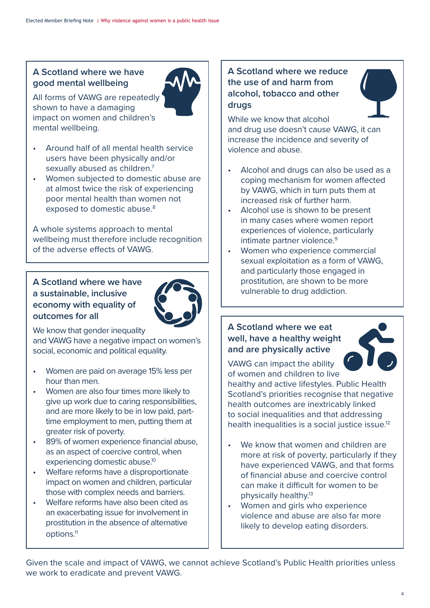#### <span id="page-3-0"></span>**A Scotland where we have good mental wellbeing**

All forms of VAWG are repeatedly shown to have a damaging impact on women and children's mental wellbeing.



- Around half of all mental health service users have been physically and/or sexually abused as children.<sup>7</sup>
- Women subjected to domestic abuse are at almost twice the risk of experiencing poor mental health than women not exposed to domestic abuse.<sup>8</sup>

A whole systems approach to mental wellbeing must therefore include recognition of the adverse effects of VAWG.

#### **A Scotland where we have a sustainable, inclusive economy with equality of outcomes for all**



We know that gender inequality

and VAWG have a negative impact on women's social, economic and political equality.

- Women are paid on average 15% less per hour than men.
- Women are also four times more likely to give up work due to caring responsibilities, and are more likely to be in low paid, parttime employment to men, putting them at greater risk of poverty.
- 89% of women experience financial abuse, as an aspect of coercive control, when experiencing domestic abuse.<sup>10</sup>
- Welfare reforms have a disproportionate impact on women and children, particular those with complex needs and barriers.
- Welfare reforms have also been cited as an exacerbating issue for involvement in prostitution in the absence of alternative options[.11](#page-7-0)

#### **A Scotland where we reduce the use of and harm from alcohol, tobacco and other drugs**



- Alcohol and drugs can also be used as a coping mechanism for women affected by VAWG, which in turn puts them at increased risk of further harm.
- Alcohol use is shown to be present in many cases where women report experiences of violence, particularly intimate partner violence.<sup>9</sup>
- Women who experience commercial sexual exploitation as a form of VAWG, and particularly those engaged in prostitution, are shown to be more vulnerable to drug addiction.

#### **A Scotland where we eat well, have a healthy weight and are physically active**



VAWG can impact the ability of women and children to live

healthy and active lifestyles. Public Health Scotland's priorities recognise that negative health outcomes are inextricably linked to social inequalities and that addressing health inequalities is a social justice issue.<sup>12</sup>

- We know that women and children are more at risk of poverty, particularly if they have experienced VAWG, and that forms of financial abuse and coercive control can make it difficult for women to be physically healthy[.13](#page-7-0)
- Women and girls who experience violence and abuse are also far more likely to develop eating disorders.

Given the scale and impact of VAWG, we cannot achieve Scotland's Public Health priorities unless we work to eradicate and prevent VAWG.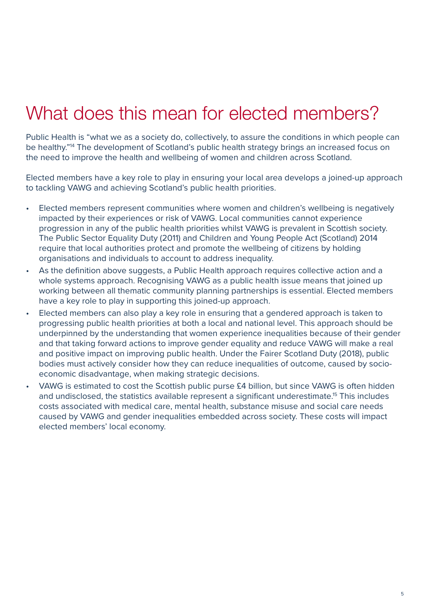### <span id="page-4-0"></span>What does this mean for elected members?

Public Health is "what we as a society do, collectively, to assure the conditions in which people can be healthy.["14](#page-7-0) The development of Scotland's public health strategy brings an increased focus on the need to improve the health and wellbeing of women and children across Scotland.

Elected members have a key role to play in ensuring your local area develops a joined-up approach to tackling VAWG and achieving Scotland's public health priorities.

- Elected members represent communities where women and children's wellbeing is negatively impacted by their experiences or risk of VAWG. Local communities cannot experience progression in any of the public health priorities whilst VAWG is prevalent in Scottish society. The Public Sector Equality Duty (2011) and Children and Young People Act (Scotland) 2014 require that local authorities protect and promote the wellbeing of citizens by holding organisations and individuals to account to address inequality.
- As the definition above suggests, a Public Health approach requires collective action and a whole systems approach. Recognising VAWG as a public health issue means that joined up working between all thematic community planning partnerships is essential. Elected members have a key role to play in supporting this joined-up approach.
- Elected members can also play a key role in ensuring that a gendered approach is taken to progressing public health priorities at both a local and national level. This approach should be underpinned by the understanding that women experience inequalities because of their gender and that taking forward actions to improve gender equality and reduce VAWG will make a real and positive impact on improving public health. Under the Fairer Scotland Duty (2018), public bodies must actively consider how they can reduce inequalities of outcome, caused by socioeconomic disadvantage, when making strategic decisions.
- VAWG is estimated to cost the Scottish public purse £4 billion, but since VAWG is often hidden and undisclosed, the statistics available represent a significant underestimate.<sup>15</sup> This includes costs associated with medical care, mental health, substance misuse and social care needs caused by VAWG and gender inequalities embedded across society. These costs will impact elected members' local economy.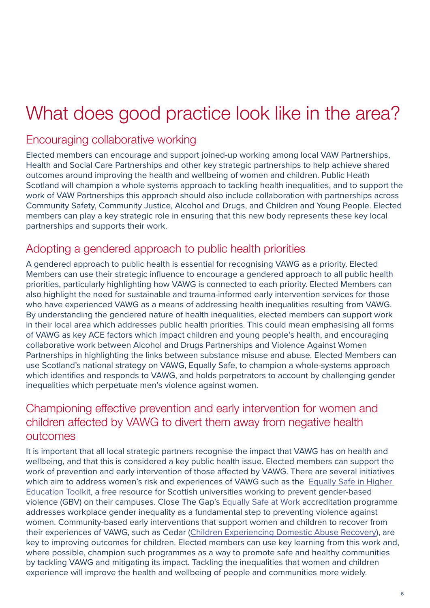### What does good practice look like in the area?

### Encouraging collaborative working

Elected members can encourage and support joined-up working among local VAW Partnerships, Health and Social Care Partnerships and other key strategic partnerships to help achieve shared outcomes around improving the health and wellbeing of women and children. Public Heath Scotland will champion a whole systems approach to tackling health inequalities, and to support the work of VAW Partnerships this approach should also include collaboration with partnerships across Community Safety, Community Justice, Alcohol and Drugs, and Children and Young People. Elected members can play a key strategic role in ensuring that this new body represents these key local partnerships and supports their work.

#### Adopting a gendered approach to public health priorities

A gendered approach to public health is essential for recognising VAWG as a priority. Elected Members can use their strategic influence to encourage a gendered approach to all public health priorities, particularly highlighting how VAWG is connected to each priority. Elected Members can also highlight the need for sustainable and trauma-informed early intervention services for those who have experienced VAWG as a means of addressing health inequalities resulting from VAWG. By understanding the gendered nature of health inequalities, elected members can support work in their local area which addresses public health priorities. This could mean emphasising all forms of VAWG as key ACE factors which impact children and young people's health, and encouraging collaborative work between Alcohol and Drugs Partnerships and Violence Against Women Partnerships in highlighting the links between substance misuse and abuse. Elected Members can use Scotland's national strategy on VAWG, Equally Safe, to champion a whole-systems approach which identifies and responds to VAWG, and holds perpetrators to account by challenging gender inequalities which perpetuate men's violence against women.

#### Championing effective prevention and early intervention for women and children affected by VAWG to divert them away from negative health outcomes

It is important that all local strategic partners recognise the impact that VAWG has on health and wellbeing, and that this is considered a key public health issue. Elected members can support the work of prevention and early intervention of those affected by VAWG. There are several initiatives which aim to address women's risk and experiences of VAWG such as the [Equally Safe in Higher](https://www.strath.ac.uk/humanities/schoolofsocialworksocialpolicy/equallysafeinhighereducation/eshetoolkit/)  [Education Toolkit,](https://www.strath.ac.uk/humanities/schoolofsocialworksocialpolicy/equallysafeinhighereducation/eshetoolkit/) a free resource for Scottish universities working to prevent gender-based violence (GBV) on their campuses. Close The Gap's [Equally Safe at Work](https://www.equallysafeatwork.scot/about/) accreditation programme addresses workplace gender inequality as a fundamental step to preventing violence against women. Community-based early interventions that support women and children to recover from their experiences of VAWG, such as Cedar ([Children Experiencing Domestic Abuse Recovery\)](https://www.cedarnetwork.org.uk/), are key to improving outcomes for children. Elected members can use key learning from this work and, where possible, champion such programmes as a way to promote safe and healthy communities by tackling VAWG and mitigating its impact. Tackling the inequalities that women and children experience will improve the health and wellbeing of people and communities more widely.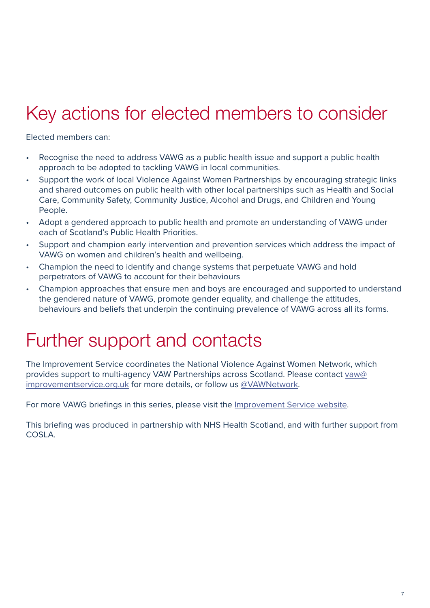## Key actions for elected members to consider

Elected members can:

- Recognise the need to address VAWG as a public health issue and support a public health approach to be adopted to tackling VAWG in local communities.
- Support the work of local Violence Against Women Partnerships by encouraging strategic links and shared outcomes on public health with other local partnerships such as Health and Social Care, Community Safety, Community Justice, Alcohol and Drugs, and Children and Young People.
- Adopt a gendered approach to public health and promote an understanding of VAWG under each of Scotland's Public Health Priorities.
- Support and champion early intervention and prevention services which address the impact of VAWG on women and children's health and wellbeing.
- Champion the need to identify and change systems that perpetuate VAWG and hold perpetrators of VAWG to account for their behaviours
- Champion approaches that ensure men and boys are encouraged and supported to understand the gendered nature of VAWG, promote gender equality, and challenge the attitudes, behaviours and beliefs that underpin the continuing prevalence of VAWG across all its forms.

### Further support and contacts

The Improvement Service coordinates the National Violence Against Women Network, which provides support to multi-agency VAW Partnerships across Scotland. Please contact [vaw@](mailto:vaw%40improvementservice.org.uk?subject=) [improvementservice.org.uk](mailto:vaw%40improvementservice.org.uk?subject=) for more details, or follow us [@VAWNetwork.](https://twitter.com/VAWNetwork)

For more VAWG briefings in this series, please visit the [Improvement Service website](http://www.improvementservice.org.uk/tackling-vaw-support-for-elected-members-and-cpps.html).

This briefing was produced in partnership with NHS Health Scotland, and with further support from COSLA.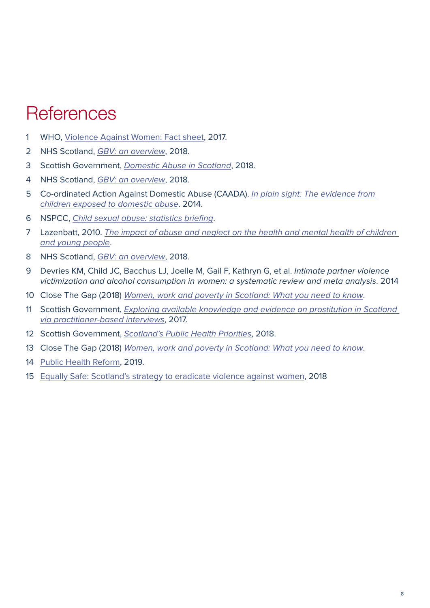### <span id="page-7-0"></span>**References**

- WHO, [Violence Against Women: Fact sheet](https://www.who.int/news-room/fact-sheets/detail/violence-against-women), 2017.
- NHS Scotland, [GBV: an overview](http://www.healthscotland.scot/media/2096/gbv-an-overview.pdf), 2018.
- Scottish Government, [Domestic Abuse in Scotland](https://www.gov.scot/binaries/content/documents/govscot/publications/statistics/2018/11/domestic-abuse-recorded-police-scotland-2017-18/documents/00543362-pdf/00543362-pdf/govscot%3Adocument/00543362.pdf), 2018.
- NHS Scotland, [GBV: an overview](http://www.healthscotland.scot/media/2096/gbv-an-overview.pdf), 2018.
- Co-ordinated Action Against Domestic Abuse (CAADA). In plain sight: The evidence from [children exposed to domestic abuse](http://www.safelives.org.uk/sites/default/files/resources/In_plain_sight_the_evidence_from_children_exposed_to_domestic_abuse.pdf). 2014.
- NSPCC, [Child sexual abuse: statistics briefing](https://learning.nspcc.org.uk/research-resources/statistics-briefings/child-sexual-abuse/).
- Lazenbatt, 2010. The impact of abuse and neglect on the health and mental health of children [and young people](https://www.choiceforum.org/docs/impactabuse.pdf).
- NHS Scotland, [GBV: an overview](http://www.healthscotland.scot/media/2096/gbv-an-overview.pdf), 2018.
- Devries KM, Child JC, Bacchus LJ, Joelle M, Gail F, Kathryn G, et al. Intimate partner violence victimization and alcohol consumption in women: a systematic review and meta analysis. 2014
- Close The Gap (2018) [Women, work and poverty in Scotland: What you need to know](https://www.closethegap.org.uk/content/resources/1---Women-work-and-poverty-what-you-need-to-know.pdf).
- Scottish Government, Exploring available knowledge and evidence on prostitution in Scotland [via practitioner-based interviews](https://www.gov.scot/binaries/content/documents/govscot/publications/research-and-analysis/2017/02/exploring-available-knowledge-evidence-prostitution-scotland-via-practitioner-based-interviews/documents/00514437-pdf/00514437-pdf/govscot%3Adocument/00514437.pdf), 2017.
- Scottish Government, [Scotland's Public Health Priorities](https://www.gov.scot/binaries/content/documents/govscot/publications/corporate-report/2018/06/scotlands-public-health-priorities/documents/00536757-pdf/00536757-pdf/govscot%3Adocument/00536757.pdf), 2018.
- Close The Gap (2018) [Women, work and poverty in Scotland: What you need to know](https://www.closethegap.org.uk/content/resources/1---Women-work-and-poverty-what-you-need-to-know.pdf).
- [Public Health Reform](https://publichealthreform.scot/whole-system-approach/whole-system-approach-overview), 2019.
- [Equally Safe: Scotland's strategy to eradicate violence against women,](https://www.gov.scot/binaries/content/documents/govscot/publications/strategy-plan/2018/04/equally-safe-scotlands-strategy-prevent-eradicate-violence-against-women-girls/documents/00534791-pdf/00534791-pdf/govscot%3Adocument/00534791.pdf) 2018